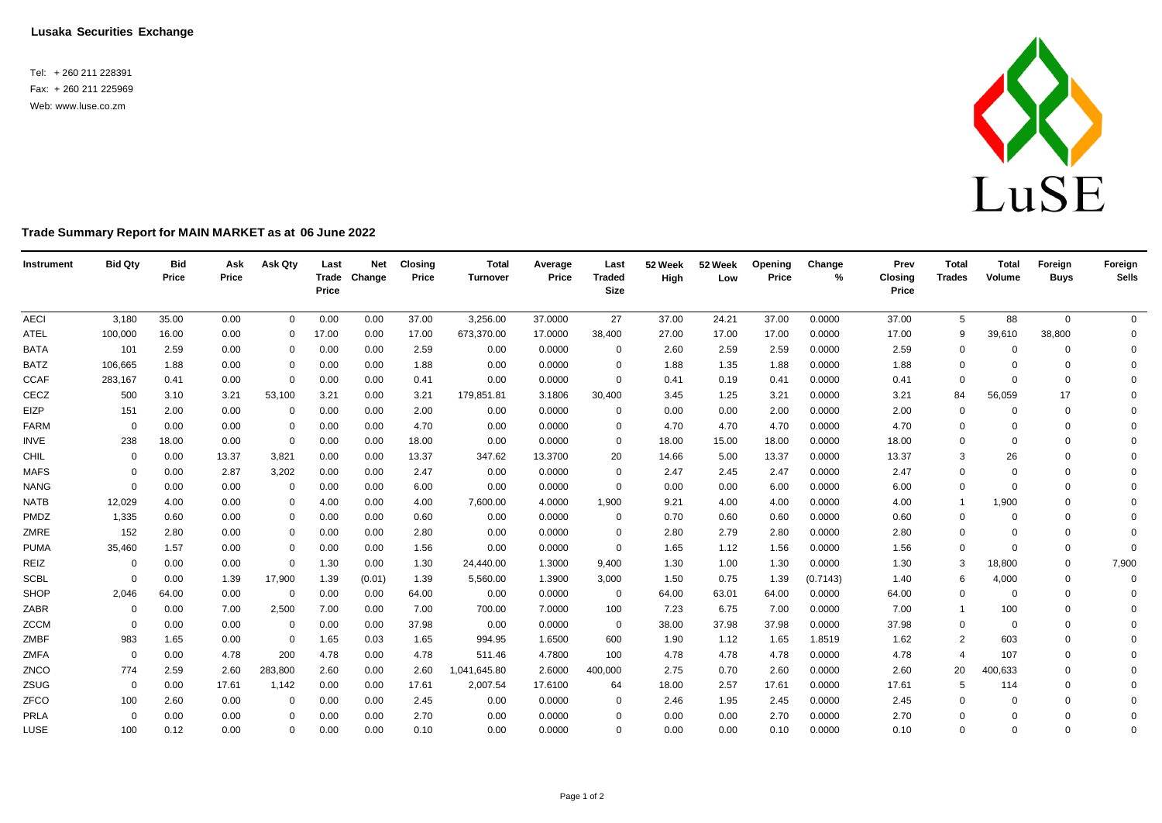**Lusaka Securities Exchange**

Tel: + 260 211 228391 Fax: + 260 211 225969 Web: [www.luse.co.zm](http://www.luse.co.zm/)



## **Trade Summary Report for MAIN MARKET as at 06 June 2022**

| Instrument  | <b>Bid Qty</b> | <b>Bid</b><br>Price | Ask<br>Price | Ask Qty      | Last<br>Price | <b>Net</b><br>Trade Change | <b>Closing</b><br>Price | <b>Total</b><br><b>Turnover</b> | Average<br>Price | Last<br><b>Traded</b><br>Size | 52 Week<br>High | 52 Week<br>Low | Openina<br>Price | Change<br>% | Prev<br><b>Closing</b><br>Price | <b>Total</b><br><b>Trades</b> | <b>Total</b><br>Volume | Foreign<br><b>Buys</b> | Foreign<br><b>Sells</b> |
|-------------|----------------|---------------------|--------------|--------------|---------------|----------------------------|-------------------------|---------------------------------|------------------|-------------------------------|-----------------|----------------|------------------|-------------|---------------------------------|-------------------------------|------------------------|------------------------|-------------------------|
| <b>AECI</b> | 3,180          | 35.00               | 0.00         | $\mathbf{0}$ | 0.00          | 0.00                       | 37.00                   | 3,256.00                        | 37.0000          | 27                            | 37.00           | 24.21          | 37.00            | 0.0000      | 37.00                           | 5                             | 88                     | $\mathbf 0$            | $\mathbf{0}$            |
| <b>ATEL</b> | 100,000        | 16.00               | 0.00         | $\Omega$     | 17.00         | 0.00                       | 17.00                   | 673,370.00                      | 17.0000          | 38,400                        | 27.00           | 17.00          | 17.00            | 0.0000      | 17.00                           | 9                             | 39,610                 | 38,800                 | $\mathbf 0$             |
| <b>BATA</b> | 101            | 2.59                | 0.00         | 0            | 0.00          | 0.00                       | 2.59                    | 0.00                            | 0.0000           | $\mathbf 0$                   | 2.60            | 2.59           | 2.59             | 0.0000      | 2.59                            | $\mathbf 0$                   | $\Omega$               | 0                      | $\mathbf 0$             |
| <b>BATZ</b> | 106,665        | 1.88                | 0.00         | $\Omega$     | 0.00          | 0.00                       | 1.88                    | 0.00                            | 0.0000           | $\mathbf 0$                   | 1.88            | 1.35           | 1.88             | 0.0000      | 1.88                            | $\Omega$                      | $\Omega$               | $\Omega$               | $\mathbf 0$             |
| <b>CCAF</b> | 283,167        | 0.41                | 0.00         | $\mathbf 0$  | 0.00          | 0.00                       | 0.41                    | 0.00                            | 0.0000           | $\mathbf 0$                   | 0.41            | 0.19           | 0.41             | 0.0000      | 0.41                            | $\mathbf 0$                   | $\Omega$               | $\Omega$               | $\mathbf 0$             |
| CECZ        | 500            | 3.10                | 3.21         | 53,100       | 3.21          | 0.00                       | 3.21                    | 179,851.81                      | 3.1806           | 30,400                        | 3.45            | 1.25           | 3.21             | 0.0000      | 3.21                            | 84                            | 56,059                 | 17                     | $\Omega$                |
| EIZP        | 151            | 2.00                | 0.00         | $\mathbf 0$  | 0.00          | 0.00                       | 2.00                    | 0.00                            | 0.0000           | $\mathbf 0$                   | 0.00            | 0.00           | 2.00             | 0.0000      | 2.00                            | $\Omega$                      | $\Omega$               | $\Omega$               | $\mathbf 0$             |
| FARM        | $\Omega$       | 0.00                | 0.00         | $\mathbf 0$  | 0.00          | 0.00                       | 4.70                    | 0.00                            | 0.0000           | $\mathbf 0$                   | 4.70            | 4.70           | 4.70             | 0.0000      | 4.70                            | 0                             | $\Omega$               | $\Omega$               | $\Omega$                |
| INVE        | 238            | 18.00               | 0.00         | $\mathbf 0$  | 0.00          | 0.00                       | 18.00                   | 0.00                            | 0.0000           | $\mathbf 0$                   | 18.00           | 15.00          | 18.00            | 0.0000      | 18.00                           | $\mathbf 0$                   | $\Omega$               | $\Omega$               | $\Omega$                |
| CHIL        | $\Omega$       | 0.00                | 13.37        | 3,821        | 0.00          | 0.00                       | 13.37                   | 347.62                          | 13.3700          | 20                            | 14.66           | 5.00           | 13.37            | 0.0000      | 13.37                           | 3                             | 26                     | $\Omega$               | $\Omega$                |
| <b>MAFS</b> | 0              | 0.00                | 2.87         | 3,202        | 0.00          | 0.00                       | 2.47                    | 0.00                            | 0.0000           | $\mathbf 0$                   | 2.47            | 2.45           | 2.47             | 0.0000      | 2.47                            | $\mathbf 0$                   | $\Omega$               | $\Omega$               | $\mathbf 0$             |
| <b>NANG</b> | $\Omega$       | 0.00                | 0.00         | $\mathbf 0$  | 0.00          | 0.00                       | 6.00                    | 0.00                            | 0.0000           | $\mathbf 0$                   | 0.00            | 0.00           | 6.00             | 0.0000      | 6.00                            | $\Omega$                      | $\Omega$               | $\Omega$               | $\Omega$                |
| <b>NATB</b> | 12,029         | 4.00                | 0.00         | $\mathbf 0$  | 4.00          | 0.00                       | 4.00                    | 7,600.00                        | 4.0000           | 1,900                         | 9.21            | 4.00           | 4.00             | 0.0000      | 4.00                            | $\overline{1}$                | 1,900                  | $\Omega$               | $\Omega$                |
| PMDZ        | 1,335          | 0.60                | 0.00         | $\Omega$     | 0.00          | 0.00                       | 0.60                    | 0.00                            | 0.0000           | $\mathbf 0$                   | 0.70            | 0.60           | 0.60             | 0.0000      | 0.60                            | 0                             | $\mathbf 0$            | $\Omega$               | $\Omega$                |
| ZMRE        | 152            | 2.80                | 0.00         | $\Omega$     | 0.00          | 0.00                       | 2.80                    | 0.00                            | 0.0000           | $\mathbf 0$                   | 2.80            | 2.79           | 2.80             | 0.0000      | 2.80                            | $\Omega$                      | $\Omega$               | $\Omega$               | $\Omega$                |
| <b>PUMA</b> | 35,460         | 1.57                | 0.00         | $\mathbf 0$  | 0.00          | 0.00                       | 1.56                    | 0.00                            | 0.0000           | $\mathbf 0$                   | 1.65            | 1.12           | 1.56             | 0.0000      | 1.56                            | $\mathbf 0$                   | $\Omega$               | $\Omega$               | $\Omega$                |
| REIZ        | $\mathbf 0$    | 0.00                | 0.00         | $\mathbf 0$  | 1.30          | 0.00                       | 1.30                    | 24,440.00                       | 1.3000           | 9,400                         | 1.30            | 1.00           | 1.30             | 0.0000      | 1.30                            | 3                             | 18,800                 | $\Omega$               | 7,900                   |
| <b>SCBL</b> | $\Omega$       | 0.00                | 1.39         | 17,900       | 1.39          | (0.01)                     | 1.39                    | 5,560.00                        | 1.3900           | 3,000                         | 1.50            | 0.75           | 1.39             | (0.7143)    | 1.40                            | 6                             | 4,000                  | $\Omega$               | $\mathbf 0$             |
| SHOP        | 2,046          | 64.00               | 0.00         | $\mathbf 0$  | 0.00          | 0.00                       | 64.00                   | 0.00                            | 0.0000           | $\overline{0}$                | 64.00           | 63.01          | 64.00            | 0.0000      | 64.00                           | $\mathbf 0$                   | $\mathbf 0$            | $\Omega$               | $\mathbf 0$             |
| ZABR        | $\mathbf 0$    | 0.00                | 7.00         | 2,500        | 7.00          | 0.00                       | 7.00                    | 700.00                          | 7.0000           | 100                           | 7.23            | 6.75           | 7.00             | 0.0000      | 7.00                            | $\mathbf{1}$                  | 100                    | $\Omega$               | $\Omega$                |
| <b>ZCCM</b> | $\Omega$       | 0.00                | 0.00         | $\Omega$     | 0.00          | 0.00                       | 37.98                   | 0.00                            | 0.0000           | $\Omega$                      | 38.00           | 37.98          | 37.98            | 0.0000      | 37.98                           | $\mathbf 0$                   | $\Omega$               | $\Omega$               | $\Omega$                |
| ZMBF        | 983            | 1.65                | 0.00         | $\mathbf 0$  | 1.65          | 0.03                       | 1.65                    | 994.95                          | 1.6500           | 600                           | 1.90            | 1.12           | 1.65             | 1.8519      | 1.62                            | 2                             | 603                    | $\Omega$               | $\Omega$                |
| ZMFA        | $\mathbf 0$    | 0.00                | 4.78         | 200          | 4.78          | 0.00                       | 4.78                    | 511.46                          | 4.7800           | 100                           | 4.78            | 4.78           | 4.78             | 0.0000      | 4.78                            | $\overline{4}$                | 107                    | $\Omega$               | $\Omega$                |
| ZNCO        | 774            | 2.59                | 2.60         | 283,800      | 2.60          | 0.00                       | 2.60                    | 1,041,645.80                    | 2.6000           | 400,000                       | 2.75            | 0.70           | 2.60             | 0.0000      | 2.60                            | 20                            | 400,633                | $\Omega$               | $\Omega$                |
| ZSUG        | $\mathbf 0$    | 0.00                | 17.61        | 1,142        | 0.00          | 0.00                       | 17.61                   | 2,007.54                        | 17.6100          | 64                            | 18.00           | 2.57           | 17.61            | 0.0000      | 17.61                           | 5                             | 114                    | $\Omega$               | $\Omega$                |
| ZFCO        | 100            | 2.60                | 0.00         | $\mathbf 0$  | 0.00          | 0.00                       | 2.45                    | 0.00                            | 0.0000           | $\mathbf 0$                   | 2.46            | 1.95           | 2.45             | 0.0000      | 2.45                            | $\Omega$                      | $\Omega$               | $\Omega$               | $\Omega$                |
| PRLA        | $\Omega$       | 0.00                | 0.00         | $\Omega$     | 0.00          | 0.00                       | 2.70                    | 0.00                            | 0.0000           | $\Omega$                      | 0.00            | 0.00           | 2.70             | 0.0000      | 2.70                            | $\Omega$                      | $\Omega$               | $\Omega$               | $\mathbf 0$             |
| LUSE        | 100            | 0.12                | 0.00         | $\mathbf 0$  | 0.00          | 0.00                       | 0.10                    | 0.00                            | 0.0000           | $\Omega$                      | 0.00            | 0.00           | 0.10             | 0.0000      | 0.10                            | $\Omega$                      | $\Omega$               | $\Omega$               | $\mathbf 0$             |